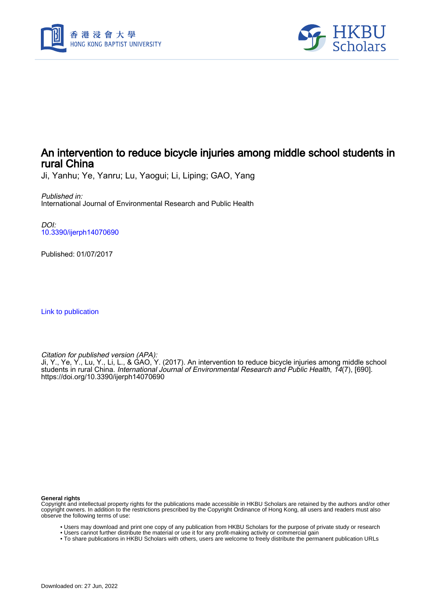



# An intervention to reduce bicycle injuries among middle school students in rural China

Ji, Yanhu; Ye, Yanru; Lu, Yaogui; Li, Liping; GAO, Yang

Published in: International Journal of Environmental Research and Public Health

DOI: [10.3390/ijerph14070690](https://doi.org/10.3390/ijerph14070690)

Published: 01/07/2017

[Link to publication](https://scholars.hkbu.edu.hk/en/publications/c31403e5-84f8-4f89-b8a0-c7abd8b42f5b)

Citation for published version (APA):

Ji, Y., Ye, Y., Lu, Y., Li, L., & GAO, Y. (2017). An intervention to reduce bicycle injuries among middle school students in rural China. International Journal of Environmental Research and Public Health, 14(7), [690]. <https://doi.org/10.3390/ijerph14070690>

**General rights**

Copyright and intellectual property rights for the publications made accessible in HKBU Scholars are retained by the authors and/or other copyright owners. In addition to the restrictions prescribed by the Copyright Ordinance of Hong Kong, all users and readers must also observe the following terms of use:

- Users may download and print one copy of any publication from HKBU Scholars for the purpose of private study or research
- Users cannot further distribute the material or use it for any profit-making activity or commercial gain
- To share publications in HKBU Scholars with others, users are welcome to freely distribute the permanent publication URLs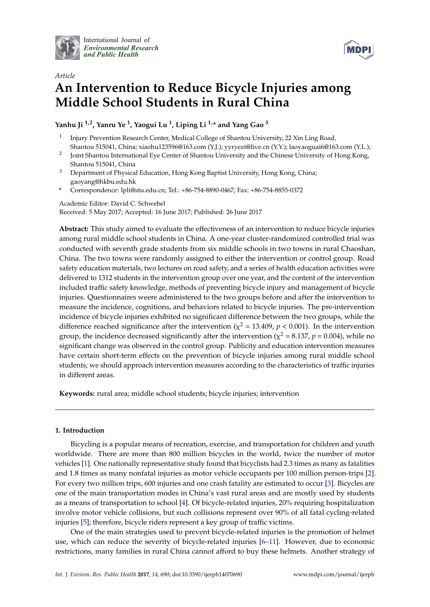

International Journal of *[Environmental Research](http://www.mdpi.com/journal/ijerph) and Public Health*



# *Article* **An Intervention to Reduce Bicycle Injuries among Middle School Students in Rural China**

**Yanhu Ji 1,2, Yanru Ye <sup>1</sup> , Yaogui Lu <sup>1</sup> , Liping Li 1,\* and Yang Gao <sup>3</sup>**

- 1 Injury Prevention Research Center, Medical College of Shantou University, 22 Xin Ling Road, Shantou 515041, China; xiaohu123596@163.com (Y.J.); yyryezi@live.cn (Y.Y.); laoyaoguai6@163.com (Y.L.);
- 2 Joint Shantou International Eye Center of Shantou University and the Chinese University of Hong Kong, Shantou 515041, China
- <sup>3</sup> Department of Physical Education, Hong Kong Baptist University, Hong Kong, China; gaoyang@hkbu.edu.hk
- **\*** Correspondence: lpli@stu.edu.cn; Tel.: +86-754-8890-0467; Fax: +86-754-8855-0372

Academic Editor: David C. Schwebel Received: 5 May 2017; Accepted: 16 June 2017; Published: 26 June 2017

**Abstract:** This study aimed to evaluate the effectiveness of an intervention to reduce bicycle injuries among rural middle school students in China. A one-year cluster-randomized controlled trial was conducted with seventh grade students from six middle schools in two towns in rural Chaoshan, China. The two towns were randomly assigned to either the intervention or control group. Road safety education materials, two lectures on road safety, and a series of health education activities were delivered to 1312 students in the intervention group over one year, and the content of the intervention included traffic safety knowledge, methods of preventing bicycle injury and management of bicycle injuries. Questionnaires weere administered to the two groups before and after the intervention to measure the incidence, cognitions, and behaviors related to bicycle injuries. The pre-intervention incidence of bicycle injuries exhibited no significant difference between the two groups, while the difference reached significance after the intervention ( $\chi^2$  = 13.409,  $p$  < 0.001). In the intervention group, the incidence decreased significantly after the intervention ( $\chi^2$  = 8.137,  $p$  = 0.004), while no significant change was observed in the control group. Publicity and education intervention measures have certain short-term effects on the prevention of bicycle injuries among rural middle school students; we should approach intervention measures according to the characteristics of traffic injuries in different areas.

**Keywords:** rural area; middle school students; bicycle injuries; intervention

# **1. Introduction**

Bicycling is a popular means of recreation, exercise, and transportation for children and youth worldwide. There are more than 800 million bicycles in the world, twice the number of motor vehicles [1]. One nationally representative study found that bicyclists had 2.3 times as many as fatalities and 1.8 times as many nonfatal injuries as motor vehicle occupants per 100 million person-trips [2]. For every two million trips, 600 injuries and one crash fatality are estimated to occur [3]. Bicycles are one of the main transportation modes in China's vast rural areas and are mostly used by students as a means of transportation to school [4]. Of bicycle-related injuries, 20% requiring hospitalization involve motor vehicle collisions, but such collisions represent over 90% of all fatal cycling-related injuries [5]; therefore, bicycle riders represent a key group of traffic victims.

One of the main strategies used to prevent bicycle-related injuries is the promotion of helmet use, which can reduce the severity of bicycle-related injuries [6–11]. However, due to economic restrictions, many families in rural China cannot afford to buy these helmets. Another strategy of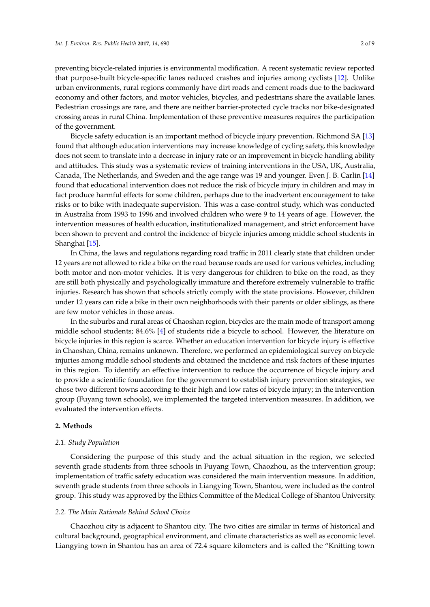preventing bicycle-related injuries is environmental modification. A recent systematic review reported that purpose-built bicycle-specific lanes reduced crashes and injuries among cyclists [12]. Unlike urban environments, rural regions commonly have dirt roads and cement roads due to the backward economy and other factors, and motor vehicles, bicycles, and pedestrians share the available lanes. Pedestrian crossings are rare, and there are neither barrier-protected cycle tracks nor bike-designated crossing areas in rural China. Implementation of these preventive measures requires the participation of the government.

Bicycle safety education is an important method of bicycle injury prevention. Richmond SA [13] found that although education interventions may increase knowledge of cycling safety, this knowledge does not seem to translate into a decrease in injury rate or an improvement in bicycle handling ability and attitudes. This study was a systematic review of training interventions in the USA, UK, Australia, Canada, The Netherlands, and Sweden and the age range was 19 and younger. Even J. B. Carlin [14] found that educational intervention does not reduce the risk of bicycle injury in children and may in fact produce harmful effects for some children, perhaps due to the inadvertent encouragement to take risks or to bike with inadequate supervision. This was a case-control study, which was conducted in Australia from 1993 to 1996 and involved children who were 9 to 14 years of age. However, the intervention measures of health education, institutionalized management, and strict enforcement have been shown to prevent and control the incidence of bicycle injuries among middle school students in Shanghai [15].

In China, the laws and regulations regarding road traffic in 2011 clearly state that children under 12 years are not allowed to ride a bike on the road because roads are used for various vehicles, including both motor and non-motor vehicles. It is very dangerous for children to bike on the road, as they are still both physically and psychologically immature and therefore extremely vulnerable to traffic injuries. Research has shown that schools strictly comply with the state provisions. However, children under 12 years can ride a bike in their own neighborhoods with their parents or older siblings, as there are few motor vehicles in those areas.

In the suburbs and rural areas of Chaoshan region, bicycles are the main mode of transport among middle school students; 84.6% [4] of students ride a bicycle to school. However, the literature on bicycle injuries in this region is scarce. Whether an education intervention for bicycle injury is effective in Chaoshan, China, remains unknown. Therefore, we performed an epidemiological survey on bicycle injuries among middle school students and obtained the incidence and risk factors of these injuries in this region. To identify an effective intervention to reduce the occurrence of bicycle injury and to provide a scientific foundation for the government to establish injury prevention strategies, we chose two different towns according to their high and low rates of bicycle injury; in the intervention group (Fuyang town schools), we implemented the targeted intervention measures. In addition, we evaluated the intervention effects.

## **2. Methods**

#### *2.1. Study Population*

Considering the purpose of this study and the actual situation in the region, we selected seventh grade students from three schools in Fuyang Town, Chaozhou, as the intervention group; implementation of traffic safety education was considered the main intervention measure. In addition, seventh grade students from three schools in Liangying Town, Shantou, were included as the control group. This study was approved by the Ethics Committee of the Medical College of Shantou University.

#### *2.2. The Main Rationale Behind School Choice*

Chaozhou city is adjacent to Shantou city. The two cities are similar in terms of historical and cultural background, geographical environment, and climate characteristics as well as economic level. Liangying town in Shantou has an area of 72.4 square kilometers and is called the "Knitting town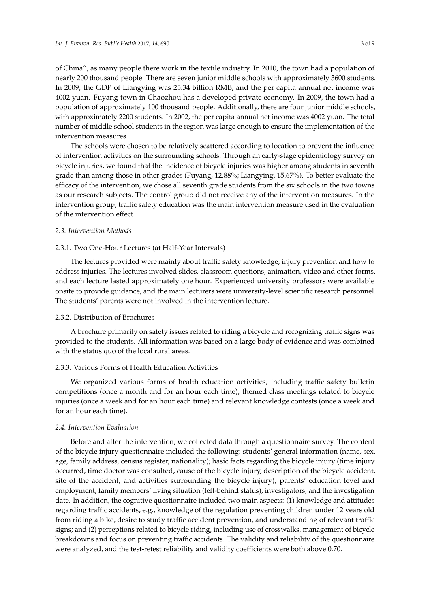of China", as many people there work in the textile industry. In 2010, the town had a population of nearly 200 thousand people. There are seven junior middle schools with approximately 3600 students. In 2009, the GDP of Liangying was 25.34 billion RMB, and the per capita annual net income was 4002 yuan. Fuyang town in Chaozhou has a developed private economy. In 2009, the town had a population of approximately 100 thousand people. Additionally, there are four junior middle schools, with approximately 2200 students. In 2002, the per capita annual net income was 4002 yuan. The total number of middle school students in the region was large enough to ensure the implementation of the intervention measures.

The schools were chosen to be relatively scattered according to location to prevent the influence of intervention activities on the surrounding schools. Through an early-stage epidemiology survey on bicycle injuries, we found that the incidence of bicycle injuries was higher among students in seventh grade than among those in other grades (Fuyang, 12.88%; Liangying, 15.67%). To better evaluate the efficacy of the intervention, we chose all seventh grade students from the six schools in the two towns as our research subjects. The control group did not receive any of the intervention measures. In the intervention group, traffic safety education was the main intervention measure used in the evaluation of the intervention effect.

#### *2.3. Intervention Methods*

## 2.3.1. Two One-Hour Lectures (at Half-Year Intervals)

The lectures provided were mainly about traffic safety knowledge, injury prevention and how to address injuries. The lectures involved slides, classroom questions, animation, video and other forms, and each lecture lasted approximately one hour. Experienced university professors were available onsite to provide guidance, and the main lecturers were university-level scientific research personnel. The students' parents were not involved in the intervention lecture.

#### 2.3.2. Distribution of Brochures

A brochure primarily on safety issues related to riding a bicycle and recognizing traffic signs was provided to the students. All information was based on a large body of evidence and was combined with the status quo of the local rural areas.

## 2.3.3. Various Forms of Health Education Activities

We organized various forms of health education activities, including traffic safety bulletin competitions (once a month and for an hour each time), themed class meetings related to bicycle injuries (once a week and for an hour each time) and relevant knowledge contests (once a week and for an hour each time).

#### *2.4. Intervention Evaluation*

Before and after the intervention, we collected data through a questionnaire survey. The content of the bicycle injury questionnaire included the following: students' general information (name, sex, age, family address, census register, nationality); basic facts regarding the bicycle injury (time injury occurred, time doctor was consulted, cause of the bicycle injury, description of the bicycle accident, site of the accident, and activities surrounding the bicycle injury); parents' education level and employment; family members' living situation (left-behind status); investigators; and the investigation date. In addition, the cognitive questionnaire included two main aspects: (1) knowledge and attitudes regarding traffic accidents, e.g., knowledge of the regulation preventing children under 12 years old from riding a bike, desire to study traffic accident prevention, and understanding of relevant traffic signs; and (2) perceptions related to bicycle riding, including use of crosswalks, management of bicycle breakdowns and focus on preventing traffic accidents. The validity and reliability of the questionnaire were analyzed, and the test-retest reliability and validity coefficients were both above 0.70.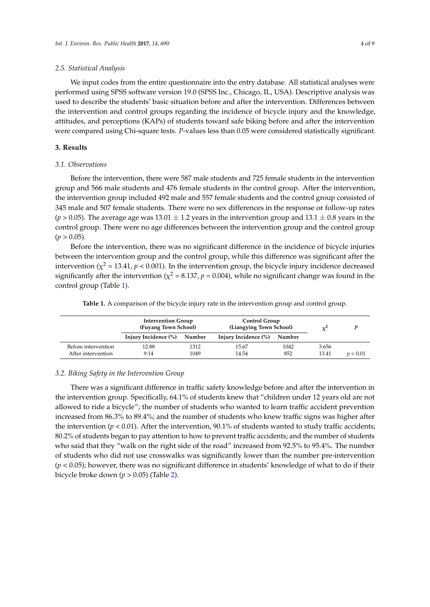#### *2.5. Statistical Analysis*

We input codes from the entire questionnaire into the entry database. All statistical analyses were performed using SPSS software version 19.0 (SPSS Inc., Chicago, IL, USA). Descriptive analysis was used to describe the students' basic situation before and after the intervention. Differences between the intervention and control groups regarding the incidence of bicycle injury and the knowledge, attitudes, and perceptions (KAPs) of students toward safe biking before and after the intervention were compared using Chi-square tests. *P*-values less than 0.05 were considered statistically significant.

## **3. Results**

## *3.1. Observations*

Before the intervention, there were 587 male students and 725 female students in the intervention group and 566 male students and 476 female students in the control group. After the intervention, the intervention group included 492 male and 557 female students and the control group consisted of 345 male and 507 female students. There were no sex differences in the response or follow-up rates  $(p > 0.05)$ . The average age was 13.01  $\pm$  1.2 years in the intervention group and 13.1  $\pm$  0.8 years in the control group. There were no age differences between the intervention group and the control group  $(p > 0.05)$ .

Before the intervention, there was no significant difference in the incidence of bicycle injuries between the intervention group and the control group, while this difference was significant after the intervention ( $\chi^2$  = 13.41,  $p$  < 0.001). In the intervention group, the bicycle injury incidence decreased significantly after the intervention ( $\chi^2$  = 8.137,  $p$  = 0.004), while no significant change was found in the control group (Table 1).

|  |  | Table 1. A comparison of the bicycle injury rate in the intervention group and control group. |  |
|--|--|-----------------------------------------------------------------------------------------------|--|
|  |  |                                                                                               |  |

|                     | <b>Intervention Group</b><br>(Fuyang Town School) |        | Control Group<br>(Liangying Town School) | $\mathbf{v}^{\mathbf{c}}$ |       |          |
|---------------------|---------------------------------------------------|--------|------------------------------------------|---------------------------|-------|----------|
|                     | Injury Incidence (%)                              | Number | Injury Incidence (%)                     | Number                    |       |          |
| Before intervention | 12.88                                             | 1312   | 15.67                                    | 1042                      | 3.656 |          |
| After intervention  | 9.14                                              | 1049   | 14.54                                    | 852                       | 13.41 | p < 0.01 |

## *3.2. Biking Safety in the Intervention Group*

There was a significant difference in traffic safety knowledge before and after the intervention in the intervention group. Specifically, 64.1% of students knew that "children under 12 years old are not allowed to ride a bicycle"; the number of students who wanted to learn traffic accident prevention increased from 86.3% to 89.4%; and the number of students who knew traffic signs was higher after the intervention  $(p < 0.01)$ . After the intervention, 90.1% of students wanted to study traffic accidents; 80.2% of students began to pay attention to how to prevent traffic accidents; and the number of students who said that they "walk on the right side of the road" increased from 92.5% to 95.4%. The number of students who did not use crosswalks was significantly lower than the number pre-intervention (*p* < 0.05); however, there was no significant difference in students' knowledge of what to do if their bicycle broke down (*p* > 0.05) (Table 2).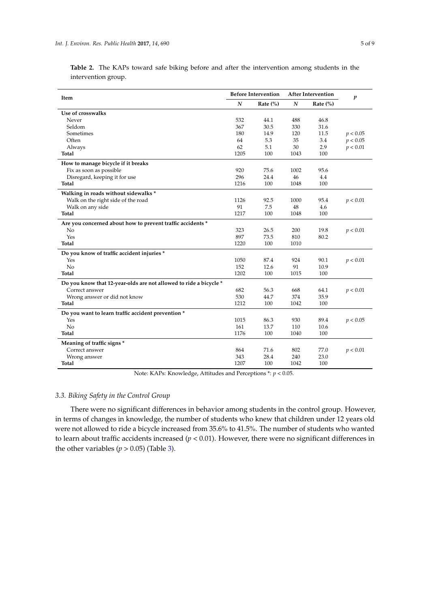|                     |  |  |  | Table 2. The KAPs toward safe biking before and after the intervention among students in the |  |  |
|---------------------|--|--|--|----------------------------------------------------------------------------------------------|--|--|
| intervention group. |  |  |  |                                                                                              |  |  |

| Item                                                              |                  | <b>Before Intervention</b> |                  | <b>After Intervention</b> | $\boldsymbol{p}$ |
|-------------------------------------------------------------------|------------------|----------------------------|------------------|---------------------------|------------------|
|                                                                   | $\boldsymbol{N}$ | Rate $(\%)$                | $\boldsymbol{N}$ | Rate $(\%)$               |                  |
| Use of crosswalks                                                 |                  |                            |                  |                           |                  |
| Never                                                             | 532              | 44.1                       | 488              | 46.8                      |                  |
| Seldom                                                            | 367              | 30.5                       | 330              | 31.6                      |                  |
| Sometimes                                                         | 180              | 14.9                       | 120              | 11.5                      | p < 0.05         |
| Often                                                             | 64               | 5.3                        | 35               | 3.4                       | p < 0.05         |
| Always                                                            | 62               | 5.1                        | 30               | 2.9                       | p < 0.01         |
| <b>Total</b>                                                      | 1205             | 100                        | 1043             | 100                       |                  |
| How to manage bicycle if it breaks                                |                  |                            |                  |                           |                  |
| Fix as soon as possible                                           | 920              | 75.6                       | 1002             | 95.6                      |                  |
| Disregard, keeping it for use                                     | 296              | 24.4                       | 46               | 4.4                       |                  |
| <b>Total</b>                                                      | 1216             | 100                        | 1048             | 100                       |                  |
| Walking in roads without sidewalks *                              |                  |                            |                  |                           |                  |
| Walk on the right side of the road                                | 1126             | 92.5                       | 1000             | 95.4                      | p < 0.01         |
| Walk on any side                                                  | 91               | 7.5                        | 48               | 4.6                       |                  |
| Total                                                             | 1217             | 100                        | 1048             | 100                       |                  |
| Are you concerned about how to prevent traffic accidents *        |                  |                            |                  |                           |                  |
| No                                                                | 323              | 26.5                       | 200              | 19.8                      | p < 0.01         |
| Yes                                                               | 897              | 73.5                       | 810              | 80.2                      |                  |
| <b>Total</b>                                                      | 1220             | 100                        | 1010             |                           |                  |
| Do you know of traffic accident injuries *                        |                  |                            |                  |                           |                  |
| Yes                                                               | 1050             | 87.4                       | 924              | 90.1                      | p < 0.01         |
| N <sub>o</sub>                                                    | 152              | 12.6                       | 91               | 10.9                      |                  |
| <b>Total</b>                                                      | 1202             | 100                        | 1015             | 100                       |                  |
| Do you know that 12-year-olds are not allowed to ride a bicycle * |                  |                            |                  |                           |                  |
| Correct answer                                                    | 682              | 56.3                       | 668              | 64.1                      | p < 0.01         |
| Wrong answer or did not know                                      | 530              | 44.7                       | 374              | 35.9                      |                  |
| <b>Total</b>                                                      | 1212             | 100                        | 1042             | 100                       |                  |
| Do you want to learn traffic accident prevention *                |                  |                            |                  |                           |                  |
| Yes                                                               | 1015             | 86.3                       | 930              | 89.4                      | p < 0.05         |
| No                                                                | 161              | 13.7                       | 110              | 10.6                      |                  |
| <b>Total</b>                                                      | 1176             | 100                        | 1040             | 100                       |                  |
| Meaning of traffic signs *                                        |                  |                            |                  |                           |                  |
| Correct answer                                                    | 864              | 71.6                       | 802              | 77.0                      | p < 0.01         |
| Wrong answer                                                      | 343              | 28.4                       | 240              | 23.0                      |                  |
| Total                                                             | 1207             | 100                        | 1042             | 100                       |                  |

Note: KAPs: Knowledge, Attitudes and Perceptions \*: *p* < 0.05.

## *3.3. Biking Safety in the Control Group*

There were no significant differences in behavior among students in the control group. However, in terms of changes in knowledge, the number of students who knew that children under 12 years old were not allowed to ride a bicycle increased from 35.6% to 41.5%. The number of students who wanted to learn about traffic accidents increased (*p* < 0.01). However, there were no significant differences in the other variables ( $p > 0.05$ ) (Table 3).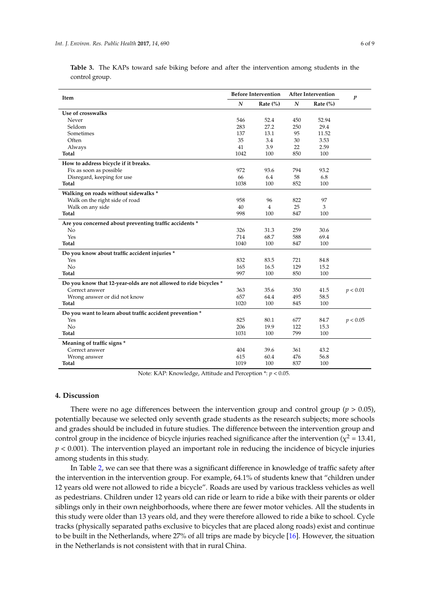|                |  |  |  |  | Table 3. The KAPs toward safe biking before and after the intervention among students in the |  |  |
|----------------|--|--|--|--|----------------------------------------------------------------------------------------------|--|--|
| control group. |  |  |  |  |                                                                                              |  |  |

| Item                                                             |                  | <b>Before Intervention</b> |                  | <b>After Intervention</b> | $\boldsymbol{p}$ |
|------------------------------------------------------------------|------------------|----------------------------|------------------|---------------------------|------------------|
|                                                                  | $\boldsymbol{N}$ | Rate $(\%)$                | $\boldsymbol{N}$ | Rate $(\%)$               |                  |
| Use of crosswalks                                                |                  |                            |                  |                           |                  |
| Never                                                            | 546              | 52.4                       | 450              | 52.94                     |                  |
| Seldom                                                           | 283              | 27.2                       | 250              | 29.4                      |                  |
| Sometimes                                                        | 137              | 13.1                       | 95               | 11.52                     |                  |
| Often                                                            | 35               | 3.4                        | 30               | 3.53                      |                  |
| Always                                                           | 41               | 3.9                        | 22               | 2.59                      |                  |
| Total                                                            | 1042             | 100                        | 850              | 100                       |                  |
| How to address bicycle if it breaks.                             |                  |                            |                  |                           |                  |
| Fix as soon as possible                                          | 972              | 93.6                       | 794              | 93.2                      |                  |
| Disregard, keeping for use                                       | 66               | 6.4                        | 58               | 6.8                       |                  |
| Total                                                            | 1038             | 100                        | 852              | 100                       |                  |
| Walking on roads without sidewalks *                             |                  |                            |                  |                           |                  |
| Walk on the right side of road                                   | 958              | 96                         | 822              | 97                        |                  |
| Walk on any side                                                 | 40               | $\overline{4}$             | 25               | 3                         |                  |
| Total                                                            | 998              | 100                        | 847              | 100                       |                  |
| Are you concerned about preventing traffic accidents *           |                  |                            |                  |                           |                  |
| N <sub>0</sub>                                                   | 326              | 31.3                       | 259              | 30.6                      |                  |
| Yes                                                              | 714              | 68.7                       | 588              | 69.4                      |                  |
| Total                                                            | 1040             | 100                        | 847              | 100                       |                  |
| Do you know about traffic accident injuries *                    |                  |                            |                  |                           |                  |
| Yes                                                              | 832              | 83.5                       | 721              | 84.8                      |                  |
| N <sub>o</sub>                                                   | 165              | 16.5                       | 129              | 15.2                      |                  |
| Total                                                            | 997              | 100                        | 850              | 100                       |                  |
| Do you know that 12-year-olds are not allowed to ride bicycles * |                  |                            |                  |                           |                  |
| Correct answer                                                   | 363              | 35.6                       | 350              | 41.5                      | p < 0.01         |
| Wrong answer or did not know                                     | 657              | 64.4                       | 495              | 58.5                      |                  |
| Total                                                            | 1020             | 100                        | 845              | 100                       |                  |
| Do you want to learn about traffic accident prevention *         |                  |                            |                  |                           |                  |
| Yes                                                              | 825              | 80.1                       | 677              | 84.7                      | p < 0.05         |
| No                                                               | 206              | 19.9                       | 122              | 15.3                      |                  |
| Total                                                            | 1031             | 100                        | 799              | 100                       |                  |
| Meaning of traffic signs *                                       |                  |                            |                  |                           |                  |
| Correct answer                                                   | 404              | 39.6                       | 361              | 43.2                      |                  |
| Wrong answer                                                     | 615              | 60.4                       | 476              | 56.8                      |                  |
| Total                                                            | 1019             | 100                        | 837              | 100                       |                  |

Note: KAP: Knowledge, Attitude and Perception \*: *p* < 0.05.

## **4. Discussion**

There were no age differences between the intervention group and control group ( $p > 0.05$ ), potentially because we selected only seventh grade students as the research subjects; more schools and grades should be included in future studies. The difference between the intervention group and control group in the incidence of bicycle injuries reached significance after the intervention ( $\chi^2$  = 13.41,  $p < 0.001$ ). The intervention played an important role in reducing the incidence of bicycle injuries among students in this study.

In Table 2, we can see that there was a significant difference in knowledge of traffic safety after the intervention in the intervention group. For example, 64.1% of students knew that "children under 12 years old were not allowed to ride a bicycle". Roads are used by various trackless vehicles as well as pedestrians. Children under 12 years old can ride or learn to ride a bike with their parents or older siblings only in their own neighborhoods, where there are fewer motor vehicles. All the students in this study were older than 13 years old, and they were therefore allowed to ride a bike to school. Cycle tracks (physically separated paths exclusive to bicycles that are placed along roads) exist and continue to be built in the Netherlands, where 27% of all trips are made by bicycle [16]. However, the situation in the Netherlands is not consistent with that in rural China.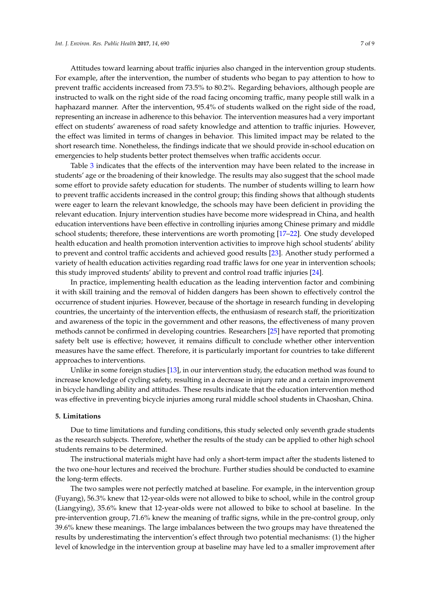Attitudes toward learning about traffic injuries also changed in the intervention group students. For example, after the intervention, the number of students who began to pay attention to how to prevent traffic accidents increased from 73.5% to 80.2%. Regarding behaviors, although people are instructed to walk on the right side of the road facing oncoming traffic, many people still walk in a haphazard manner. After the intervention, 95.4% of students walked on the right side of the road, representing an increase in adherence to this behavior. The intervention measures had a very important effect on students' awareness of road safety knowledge and attention to traffic injuries. However, the effect was limited in terms of changes in behavior. This limited impact may be related to the short research time. Nonetheless, the findings indicate that we should provide in-school education on emergencies to help students better protect themselves when traffic accidents occur.

Table 3 indicates that the effects of the intervention may have been related to the increase in students' age or the broadening of their knowledge. The results may also suggest that the school made some effort to provide safety education for students. The number of students willing to learn how to prevent traffic accidents increased in the control group; this finding shows that although students were eager to learn the relevant knowledge, the schools may have been deficient in providing the relevant education. Injury intervention studies have become more widespread in China, and health education interventions have been effective in controlling injuries among Chinese primary and middle school students; therefore, these interventions are worth promoting [17–22]. One study developed health education and health promotion intervention activities to improve high school students' ability to prevent and control traffic accidents and achieved good results [23]. Another study performed a variety of health education activities regarding road traffic laws for one year in intervention schools; this study improved students' ability to prevent and control road traffic injuries [24].

In practice, implementing health education as the leading intervention factor and combining it with skill training and the removal of hidden dangers has been shown to effectively control the occurrence of student injuries. However, because of the shortage in research funding in developing countries, the uncertainty of the intervention effects, the enthusiasm of research staff, the prioritization and awareness of the topic in the government and other reasons, the effectiveness of many proven methods cannot be confirmed in developing countries. Researchers [25] have reported that promoting safety belt use is effective; however, it remains difficult to conclude whether other intervention measures have the same effect. Therefore, it is particularly important for countries to take different approaches to interventions.

Unlike in some foreign studies [13], in our intervention study, the education method was found to increase knowledge of cycling safety, resulting in a decrease in injury rate and a certain improvement in bicycle handling ability and attitudes. These results indicate that the education intervention method was effective in preventing bicycle injuries among rural middle school students in Chaoshan, China.

#### **5. Limitations**

Due to time limitations and funding conditions, this study selected only seventh grade students as the research subjects. Therefore, whether the results of the study can be applied to other high school students remains to be determined.

The instructional materials might have had only a short-term impact after the students listened to the two one-hour lectures and received the brochure. Further studies should be conducted to examine the long-term effects.

The two samples were not perfectly matched at baseline. For example, in the intervention group (Fuyang), 56.3% knew that 12-year-olds were not allowed to bike to school, while in the control group (Liangying), 35.6% knew that 12-year-olds were not allowed to bike to school at baseline. In the pre-intervention group, 71.6% knew the meaning of traffic signs, while in the pre-control group, only 39.6% knew these meanings. The large imbalances between the two groups may have threatened the results by underestimating the intervention's effect through two potential mechanisms: (1) the higher level of knowledge in the intervention group at baseline may have led to a smaller improvement after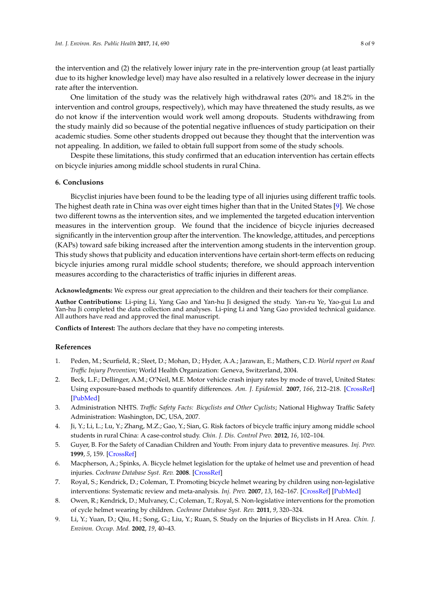the intervention and (2) the relatively lower injury rate in the pre-intervention group (at least partially due to its higher knowledge level) may have also resulted in a relatively lower decrease in the injury rate after the intervention.

One limitation of the study was the relatively high withdrawal rates (20% and 18.2% in the intervention and control groups, respectively), which may have threatened the study results, as we do not know if the intervention would work well among dropouts. Students withdrawing from the study mainly did so because of the potential negative influences of study participation on their academic studies. Some other students dropped out because they thought that the intervention was not appealing. In addition, we failed to obtain full support from some of the study schools.

Despite these limitations, this study confirmed that an education intervention has certain effects on bicycle injuries among middle school students in rural China.

## **6. Conclusions**

Bicyclist injuries have been found to be the leading type of all injuries using different traffic tools. The highest death rate in China was over eight times higher than that in the United States [9]. We chose two different towns as the intervention sites, and we implemented the targeted education intervention measures in the intervention group. We found that the incidence of bicycle injuries decreased significantly in the intervention group after the intervention. The knowledge, attitudes, and perceptions (KAPs) toward safe biking increased after the intervention among students in the intervention group. This study shows that publicity and education interventions have certain short-term effects on reducing bicycle injuries among rural middle school students; therefore, we should approach intervention measures according to the characteristics of traffic injuries in different areas.

**Acknowledgments:** We express our great appreciation to the children and their teachers for their compliance.

**Author Contributions:** Li-ping Li, Yang Gao and Yan-hu Ji designed the study. Yan-ru Ye, Yao-gui Lu and Yan-hu Ji completed the data collection and analyses. Li-ping Li and Yang Gao provided technical guidance. All authors have read and approved the final manuscript.

**Conflicts of Interest:** The authors declare that they have no competing interests.

# **References**

- 1. Peden, M.; Scurfield, R.; Sleet, D.; Mohan, D.; Hyder, A.A.; Jarawan, E.; Mathers, C.D. *World report on Road Traffic Injury Prevention*; World Health Organization: Geneva, Switzerland, 2004.
- 2. Beck, L.F.; Dellinger, A.M.; O'Neil, M.E. Motor vehicle crash injury rates by mode of travel, United States: Using exposure-based methods to quantify differences. *Am. J. Epidemiol.* **2007**, *166*, 212–218. [\[CrossRef\]](http://dx.doi.org/10.1093/aje/kwm064) [\[PubMed\]](http://www.ncbi.nlm.nih.gov/pubmed/17449891)
- 3. Administration NHTS. *Traffic Safety Facts: Bicyclists and Other Cyclists*; National Highway Traffic Safety Administration: Washington, DC, USA, 2007.
- 4. Ji, Y.; Li, L.; Lu, Y.; Zhang, M.Z.; Gao, Y.; Sian, G. Risk factors of bicycle traffic injury among middle school students in rural China: A case-control study. *Chin. J. Dis. Control Prev.* **2012**, *16*, 102–104.
- 5. Guyer, B. For the Safety of Canadian Children and Youth: From injury data to preventive measures. *Inj. Prev.* **1999**, *5*, 159. [\[CrossRef\]](http://dx.doi.org/10.1136/ip.5.2.159)
- 6. Macpherson, A.; Spinks, A. Bicycle helmet legislation for the uptake of helmet use and prevention of head injuries. *Cochrane Database Syst. Rev.* **2008**. [\[CrossRef\]](http://dx.doi.org/10.1002/14651858.CD005401.pub3)
- 7. Royal, S.; Kendrick, D.; Coleman, T. Promoting bicycle helmet wearing by children using non-legislative interventions: Systematic review and meta-analysis. *Inj. Prev.* **2007**, *13*, 162–167. [\[CrossRef\]](http://dx.doi.org/10.1136/ip.2006.013441) [\[PubMed\]](http://www.ncbi.nlm.nih.gov/pubmed/17567970)
- 8. Owen, R.; Kendrick, D.; Mulvaney, C.; Coleman, T.; Royal, S. Non-legislative interventions for the promotion of cycle helmet wearing by children. *Cochrane Database Syst. Rev.* **2011**, *9*, 320–324.
- 9. Li, Y.; Yuan, D.; Qiu, H.; Song, G.; Liu, Y.; Ruan, S. Study on the Injuries of Bicyclists in H Area. *Chin. J. Environ. Occup. Med.* **2002**, *19*, 40–43.